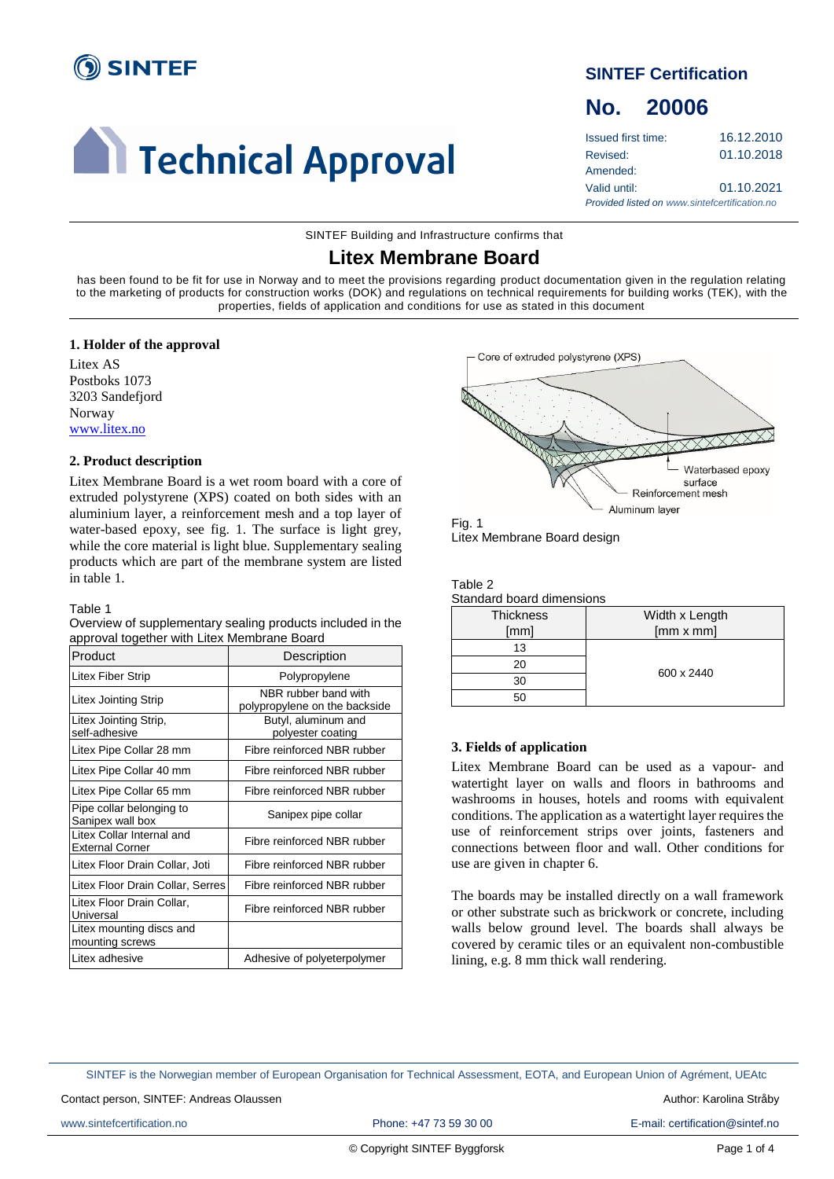

# **Technical Approval**

### **SINTEF Certification**

## **No. 20006**

Issued first time: 16.12.2010 Revised: 01.10.2018 Amended: Valid until: 01.10.2021 *Provided listed on www.sintefcertification.no*

SINTEF Building and Infrastructure confirms that

## **Litex Membrane Board**

has been found to be fit for use in Norway and to meet the provisions regarding product documentation given in the regulation relating to the marketing of products for construction works (DOK) and regulations on technical requirements for building works (TEK), with the properties, fields of application and conditions for use as stated in this document

#### **1. Holder of the approval**

Litex AS Postboks 1073 3203 Sandefjord Norway [www.litex.no](http://www.litex.no/)

#### **2. Product description**

Litex Membrane Board is a wet room board with a core of extruded polystyrene (XPS) coated on both sides with an aluminium layer, a reinforcement mesh and a top layer of water-based epoxy, see fig. 1. The surface is light grey, while the core material is light blue. Supplementary sealing products which are part of the membrane system are listed in table 1.

#### Table 1

| Overview of supplementary sealing products included in the |
|------------------------------------------------------------|
| approval together with Litex Membrane Board                |

| Product                                             | Description                                           |  |
|-----------------------------------------------------|-------------------------------------------------------|--|
| Litex Fiber Strip                                   | Polypropylene                                         |  |
| <b>Litex Jointing Strip</b>                         | NBR rubber band with<br>polypropylene on the backside |  |
| Litex Jointing Strip,<br>self-adhesive              | Butyl, aluminum and<br>polyester coating              |  |
| Litex Pipe Collar 28 mm                             | Fibre reinforced NBR rubber                           |  |
| Litex Pipe Collar 40 mm                             | Fibre reinforced NBR rubber                           |  |
| Litex Pipe Collar 65 mm                             | Fibre reinforced NBR rubber                           |  |
| Pipe collar belonging to<br>Sanipex wall box        | Sanipex pipe collar                                   |  |
| Litex Collar Internal and<br><b>External Corner</b> | Fibre reinforced NBR rubber                           |  |
| Litex Floor Drain Collar, Joti                      | Fibre reinforced NBR rubber                           |  |
| Litex Floor Drain Collar, Serres                    | Fibre reinforced NBR rubber                           |  |
| Litex Floor Drain Collar,<br>Universal              | Fibre reinforced NBR rubber                           |  |
| Litex mounting discs and<br>mounting screws         |                                                       |  |
| Litex adhesive                                      | Adhesive of polyeterpolymer                           |  |





| able |  |
|------|--|
|------|--|

| <u>Undividual Doctra all'Ilorio Ilo</u> |                  |  |  |
|-----------------------------------------|------------------|--|--|
| <b>Thickness</b>                        | Width x Length   |  |  |
| [mm]                                    | $[mm \times mm]$ |  |  |
| 13                                      |                  |  |  |
| 20                                      | 600 x 2440       |  |  |
| 30                                      |                  |  |  |
|                                         |                  |  |  |

#### **3. Fields of application**

Litex Membrane Board can be used as a vapour- and watertight layer on walls and floors in bathrooms and washrooms in houses, hotels and rooms with equivalent conditions. The application as a watertight layer requires the use of reinforcement strips over joints, fasteners and connections between floor and wall. Other conditions for use are given in chapter 6.

The boards may be installed directly on a wall framework or other substrate such as brickwork or concrete, including walls below ground level. The boards shall always be covered by ceramic tiles or an equivalent non-combustible lining, e.g. 8 mm thick wall rendering.

SINTEF is the Norwegian member of European Organisation for Technical Assessment, EOTA, and European Union of Agrément, UEAtc

Contact person, SINTEF: Andreas Olaussen Author: Karolina Stråby and Author: Karolina Stråby and Author: Karolina Stråby

www.sintefcertification.no **Phone: +47 73 59 30 00** E-mail: certification@sintef.no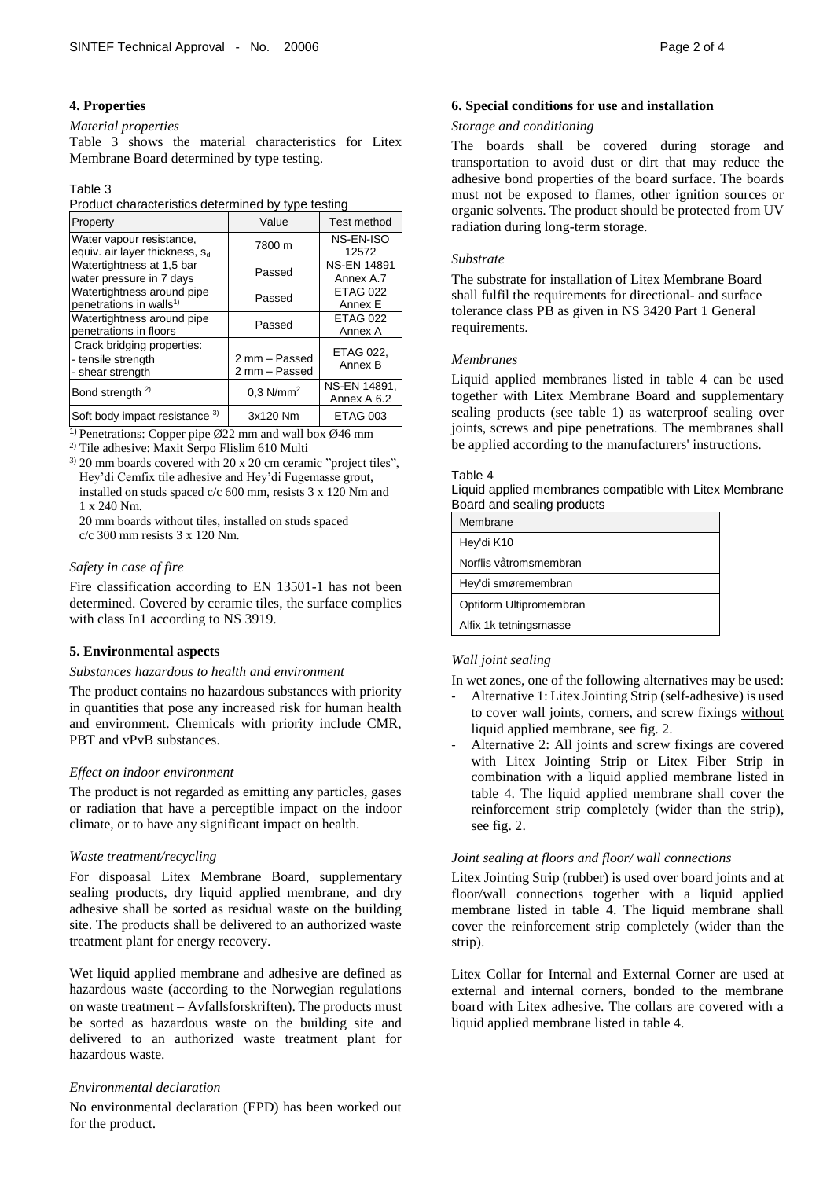#### **4. Properties**

#### *Material properties*

Table 3 shows the material characteristics for Litex Membrane Board determined by type testing.

#### Table 3

Product characteristics determined by type testing

| Property                                                               | Value                          | Test method                     |
|------------------------------------------------------------------------|--------------------------------|---------------------------------|
| Water vapour resistance.<br>equiv. air layer thickness, S <sub>d</sub> | 7800 m                         | NS-EN-ISO<br>12572              |
| Watertightness at 1,5 bar<br>water pressure in 7 days                  | Passed                         | <b>NS-EN 14891</b><br>Annex A.7 |
| Watertightness around pipe<br>penetrations in walls <sup>1)</sup>      | Passed                         | <b>ETAG 022</b><br>Annex E      |
| Watertightness around pipe<br>penetrations in floors                   | Passed                         | <b>ETAG 022</b><br>Annex A      |
| Crack bridging properties:<br>- tensile strength<br>- shear strength   | 2 mm - Passed<br>2 mm - Passed | ETAG 022,<br>Annex B            |
| Bond strength <sup>2)</sup>                                            | $0.3$ N/mm <sup>2</sup>        | NS-EN 14891.<br>Annex A 6.2     |
| Soft body impact resistance 3)                                         | 3x120 Nm                       | ETAG 003                        |

<sup>1)</sup> Penetrations: Copper pipe Ø22 mm and wall box Ø46 mm

2) Tile adhesive: Maxit Serpo Flislim 610 Multi

3) 20 mm boards covered with 20 x 20 cm ceramic "project tiles", Hey'di Cemfix tile adhesive and Hey'di Fugemasse grout, installed on studs spaced c/c 600 mm, resists 3 x 120 Nm and 1 x 240 Nm.

20 mm boards without tiles, installed on studs spaced c/c 300 mm resists 3 x 120 Nm.

#### *Safety in case of fire*

Fire classification according to EN 13501-1 has not been determined. Covered by ceramic tiles, the surface complies with class In1 according to NS 3919.

#### **5. Environmental aspects**

#### *Substances hazardous to health and environment*

The product contains no hazardous substances with priority in quantities that pose any increased risk for human health and environment. Chemicals with priority include CMR, PBT and vPvB substances.

#### *Effect on indoor environment*

The product is not regarded as emitting any particles, gases or radiation that have a perceptible impact on the indoor climate, or to have any significant impact on health.

#### *Waste treatment/recycling*

For dispoasal Litex Membrane Board, supplementary sealing products, dry liquid applied membrane, and dry adhesive shall be sorted as residual waste on the building site. The products shall be delivered to an authorized waste treatment plant for energy recovery.

Wet liquid applied membrane and adhesive are defined as hazardous waste (according to the Norwegian regulations on waste treatment − Avfallsforskriften). The products must be sorted as hazardous waste on the building site and delivered to an authorized waste treatment plant for hazardous waste.

#### *Environmental declaration*

No environmental declaration (EPD) has been worked out for the product.

#### **6. Special conditions for use and installation**

#### *Storage and conditioning*

The boards shall be covered during storage and transportation to avoid dust or dirt that may reduce the adhesive bond properties of the board surface. The boards must not be exposed to flames, other ignition sources or organic solvents. The product should be protected from UV radiation during long-term storage.

#### *Substrate*

The substrate for installation of Litex Membrane Board shall fulfil the requirements for directional- and surface tolerance class PB as given in NS 3420 Part 1 General requirements.

#### *Membranes*

Liquid applied membranes listed in table 4 can be used together with Litex Membrane Board and supplementary sealing products (see table 1) as waterproof sealing over joints, screws and pipe penetrations. The membranes shall be applied according to the manufacturers' instructions.

#### Table 4

Liquid applied membranes compatible with Litex Membrane Board and sealing products

| Membrane                |
|-------------------------|
| Hey'di K10              |
| Norflis våtromsmembran  |
| Hey'di smøremembran     |
| Optiform Ultipromembran |
| Alfix 1k tetningsmasse  |

#### *Wall joint sealing*

In wet zones, one of the following alternatives may be used:

- Alternative 1: Litex Jointing Strip (self-adhesive) is used to cover wall joints, corners, and screw fixings without liquid applied membrane, see fig. 2.
- Alternative 2: All joints and screw fixings are covered with Litex Jointing Strip or Litex Fiber Strip in combination with a liquid applied membrane listed in table 4. The liquid applied membrane shall cover the reinforcement strip completely (wider than the strip), see fig. 2.

#### *Joint sealing at floors and floor/ wall connections*

Litex Jointing Strip (rubber) is used over board joints and at floor/wall connections together with a liquid applied membrane listed in table 4. The liquid membrane shall cover the reinforcement strip completely (wider than the strip).

Litex Collar for Internal and External Corner are used at external and internal corners, bonded to the membrane board with Litex adhesive. The collars are covered with a liquid applied membrane listed in table 4.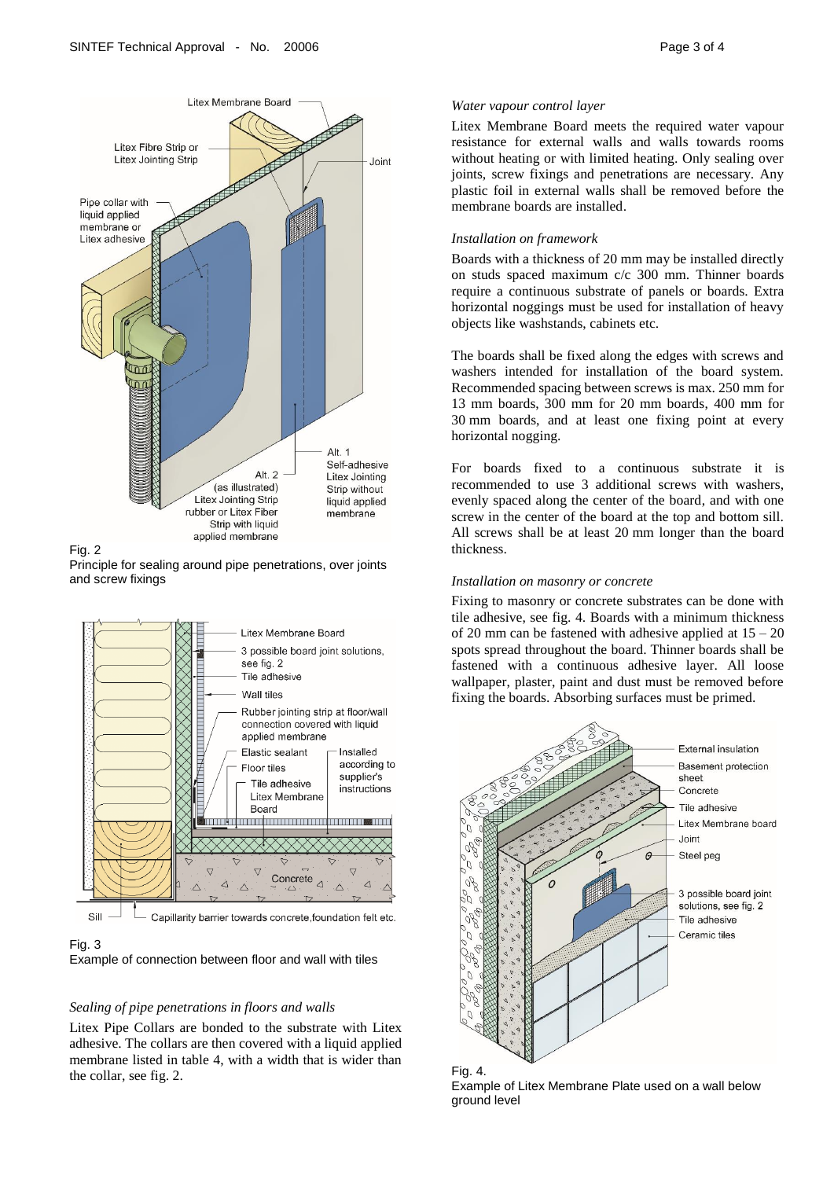



Fig. 2

Principle for sealing around pipe penetrations, over joints and screw fixings



Sill Capillarity barrier towards concrete, foundation felt etc.

#### Fig. 3

Example of connection between floor and wall with tiles

#### *Sealing of pipe penetrations in floors and walls*

Litex Pipe Collars are bonded to the substrate with Litex adhesive. The collars are then covered with a liquid applied membrane listed in table 4, with a width that is wider than the collar, see fig. 2.

#### *Water vapour control layer*

Litex Membrane Board meets the required water vapour resistance for external walls and walls towards rooms without heating or with limited heating. Only sealing over joints, screw fixings and penetrations are necessary. Any plastic foil in external walls shall be removed before the membrane boards are installed.

#### *Installation on framework*

Boards with a thickness of 20 mm may be installed directly on studs spaced maximum c/c 300 mm. Thinner boards require a continuous substrate of panels or boards. Extra horizontal noggings must be used for installation of heavy objects like washstands, cabinets etc.

The boards shall be fixed along the edges with screws and washers intended for installation of the board system. Recommended spacing between screws is max. 250 mm for 13 mm boards, 300 mm for 20 mm boards, 400 mm for 30 mm boards, and at least one fixing point at every horizontal nogging.

For boards fixed to a continuous substrate it is recommended to use 3 additional screws with washers, evenly spaced along the center of the board, and with one screw in the center of the board at the top and bottom sill. All screws shall be at least 20 mm longer than the board thickness.

#### *Installation on masonry or concrete*

Fixing to masonry or concrete substrates can be done with tile adhesive, see fig. 4. Boards with a minimum thickness of 20 mm can be fastened with adhesive applied at  $15 - 20$ spots spread throughout the board. Thinner boards shall be fastened with a continuous adhesive layer. All loose wallpaper, plaster, paint and dust must be removed before fixing the boards. Absorbing surfaces must be primed.



Example of Litex Membrane Plate used on a wall below ground level